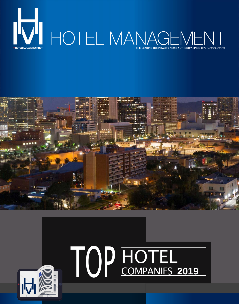



## HOTEL TOP COMPANIES **<sup>2019</sup>**